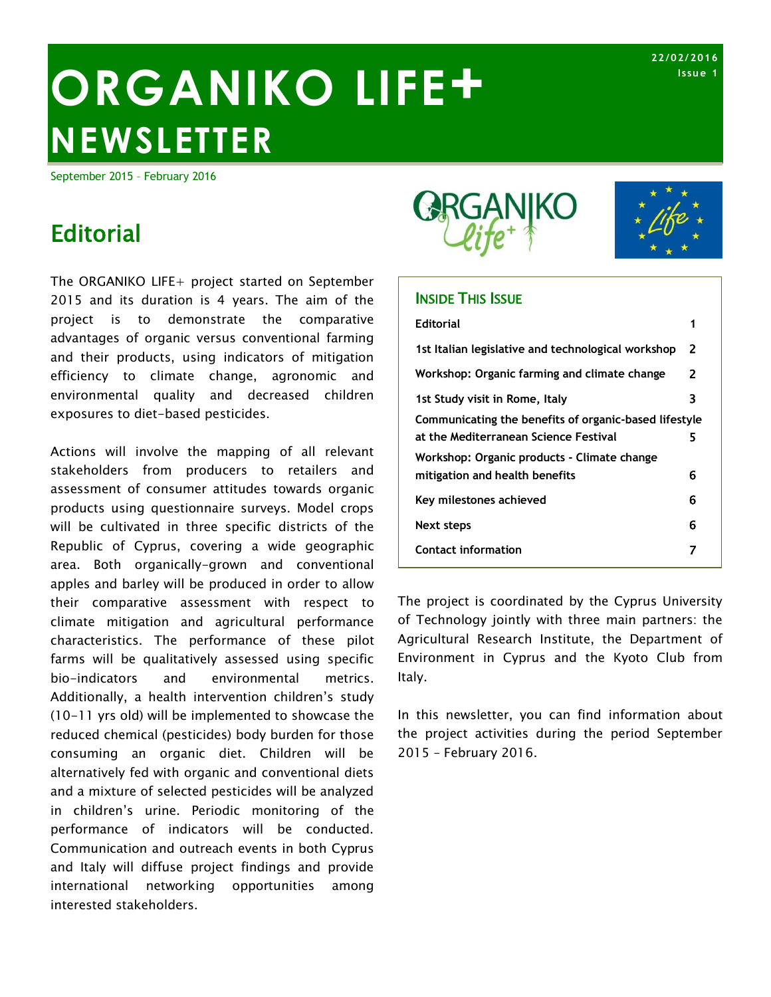# ORGANIKO LIFE<sup>+</sup> **NEWSLETTER**

September 2015 – February 2016

# **Editorial**

The ORGANIKO LIFE+ project started on September 2015 and its duration is 4 years. The aim of the project is to demonstrate the comparative advantages of organic versus conventional farming and their products, using indicators of mitigation efficiency to climate change, agronomic and environmental quality and decreased children exposures to diet-based pesticides.

Actions will involve the mapping of all relevant stakeholders from producers to retailers and assessment of consumer attitudes towards organic products using questionnaire surveys. Model crops will be cultivated in three specific districts of the Republic of Cyprus, covering a wide geographic area. Both organically-grown and conventional apples and barley will be produced in order to allow their comparative assessment with respect to climate mitigation and agricultural performance characteristics. The performance of these pilot farms will be qualitatively assessed using specific bio-indicators and environmental metrics. Additionally, a health intervention children's study (10-11 yrs old) will be implemented to showcase the reduced chemical (pesticides) body burden for those consuming an organic diet. Children will be alternatively fed with organic and conventional diets and a mixture of selected pesticides will be analyzed in children's urine. Periodic monitoring of the performance of indicators will be conducted. Communication and outreach events in both Cyprus and Italy will diffuse project findings and provide international networking opportunities among interested stakeholders.



#### **INSIDE THIS ISSUE**

| <b>Editorial</b>                                      |   |
|-------------------------------------------------------|---|
| 1st Italian legislative and technological workshop    | 2 |
| Workshop: Organic farming and climate change          | 2 |
| 1st Study visit in Rome, Italy                        | 3 |
| Communicating the benefits of organic-based lifestyle |   |
| at the Mediterranean Science Festival                 | 5 |
| Workshop: Organic products - Climate change           |   |
| mitigation and health benefits                        | 6 |
| Key milestones achieved                               | 6 |
| Next steps                                            | 6 |
| <b>Contact information</b>                            |   |
|                                                       |   |

The project is coordinated by the Cyprus University of Technology jointly with three main partners: the Agricultural Research Institute, the Department of Environment in Cyprus and the Kyoto Club from Italy.

In this newsletter, you can find information about the project activities during the period September 2015 – February 2016.

**22/02/ 2016 Issu e 1**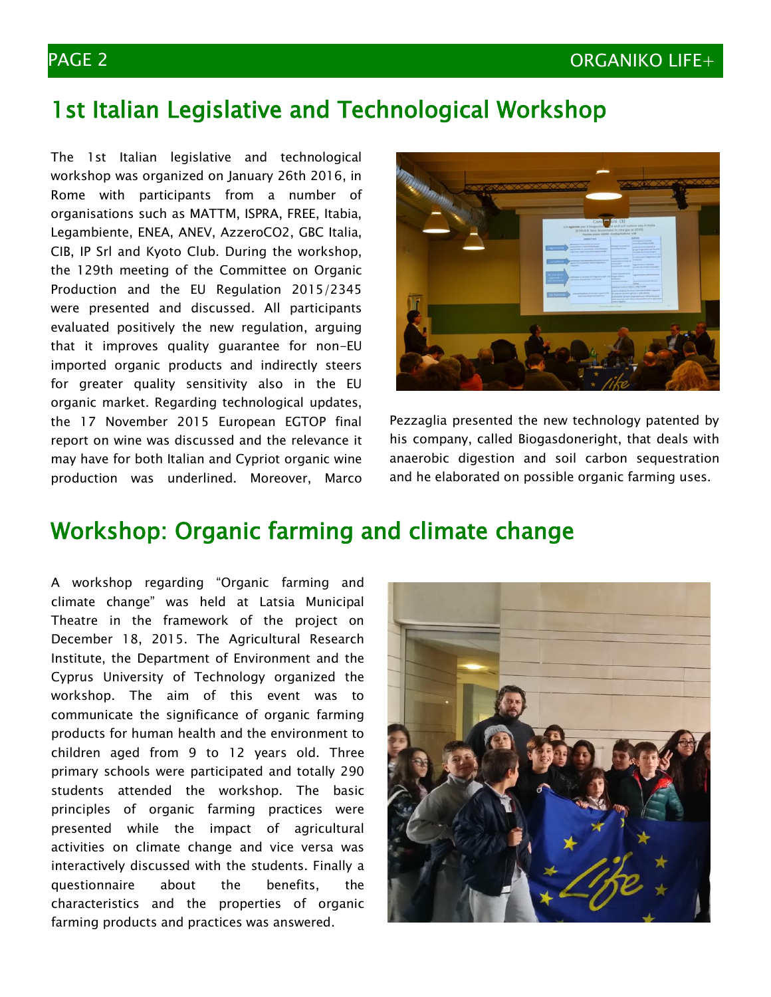# 1st Italian Legislative and Technological Workshop

The 1st Italian legislative and technological workshop was organized on January 26th 2016, in Rome with participants from a number of organisations such as MATTM, ISPRA, FREE, Itabia, Legambiente, ENEA, ANEV, AzzeroCO2, GBC Italia, CIB, IP Srl and Kyoto Club. During the workshop, the 129th meeting of the Committee on Organic Production and the EU Regulation 2015/2345 were presented and discussed. All participants evaluated positively the new regulation, arguing that it improves quality guarantee for non-EU imported organic products and indirectly steers for greater quality sensitivity also in the EU organic market. Regarding technological updates, the 17 November 2015 European EGTOP final report on wine was discussed and the relevance it may have for both Italian and Cypriot organic wine production was underlined. Moreover, Marco



Pezzaglia presented the new technology patented by his company, called Biogasdoneright, that deals with anaerobic digestion and soil carbon sequestration and he elaborated on possible organic farming uses.

# Workshop: Organic farming and climate change

A workshop regarding "Organic farming and climate change" was held at Latsia Municipal Theatre in the framework of the project on December 18, 2015. The Agricultural Research Institute, the Department of Environment and the Cyprus University of Technology organized the workshop. The aim of this event was to communicate the significance of organic farming products for human health and the environment to children aged from 9 to 12 years old. Three primary schools were participated and totally 290 students attended the workshop. The basic principles of organic farming practices were presented while the impact of agricultural activities on climate change and vice versa was interactively discussed with the students. Finally a questionnaire about the benefits, the characteristics and the properties of organic farming products and practices was answered.

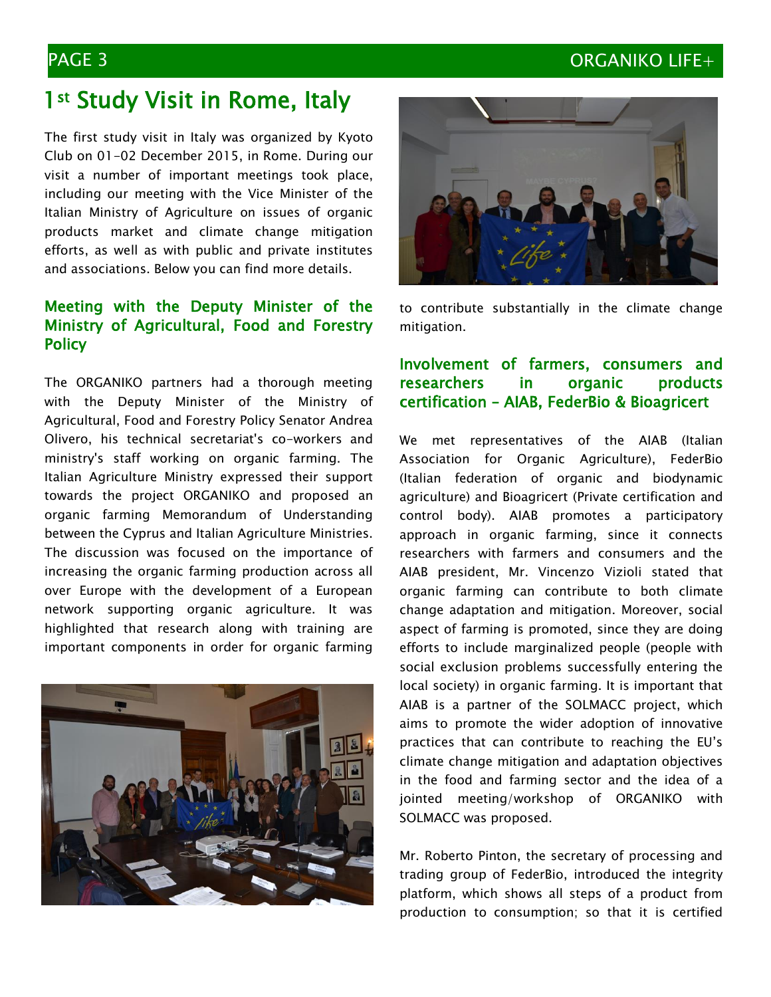### PAGE 3 ORGANIKO LIFE+

# 1<sup>st</sup> Study Visit in Rome, Italy

The first study visit in Italy was organized by Kyoto Club on 01-02 December 2015, in Rome. During our visit a number of important meetings took place, including our meeting with the Vice Minister of the Italian Ministry of Agriculture on issues of organic products market and climate change mitigation efforts, as well as with public and private institutes and associations. Below you can find more details.

#### Meeting with the Deputy Minister of the Ministry of Agricultural, Food and Forestry **Policy**

The ORGANIKO partners had a thorough meeting with the Deputy Minister of the Ministry of Agricultural, Food and Forestry Policy Senator Andrea Olivero, his technical secretariat's co-workers and ministry's staff working on organic farming. The Italian Agriculture Ministry expressed their support towards the project ORGANIKO and proposed an organic farming Memorandum of Understanding between the Cyprus and Italian Agriculture Ministries. The discussion was focused on the importance of increasing the organic farming production across all over Europe with the development of a European network supporting organic agriculture. It was highlighted that research along with training are important components in order for organic farming





to contribute substantially in the climate change mitigation.

### Involvement of farmers, consumers and researchers in organic products certification – AIAB, FederBio & Bioagricert

We met representatives of the AIAB (Italian Association for Organic Agriculture), FederBio (Italian federation of organic and biodynamic agriculture) and Bioagricert (Private certification and control body). AIAB promotes a participatory approach in organic farming, since it connects researchers with farmers and consumers and the AIAB president, Mr. Vincenzo Vizioli stated that organic farming can contribute to both climate change adaptation and mitigation. Moreover, social aspect of farming is promoted, since they are doing efforts to include marginalized people (people with social exclusion problems successfully entering the local society) in organic farming. It is important that AIAB is a partner of the SOLMACC project, which aims to promote the wider adoption of innovative practices that can contribute to reaching the EU's climate change mitigation and adaptation objectives in the food and farming sector and the idea of a jointed meeting/workshop of ORGANIKO with SOLMACC was proposed.

Mr. Roberto Pinton, the secretary of processing and trading group of FederBio, introduced the integrity platform, which shows all steps of a product from production to consumption; so that it is certified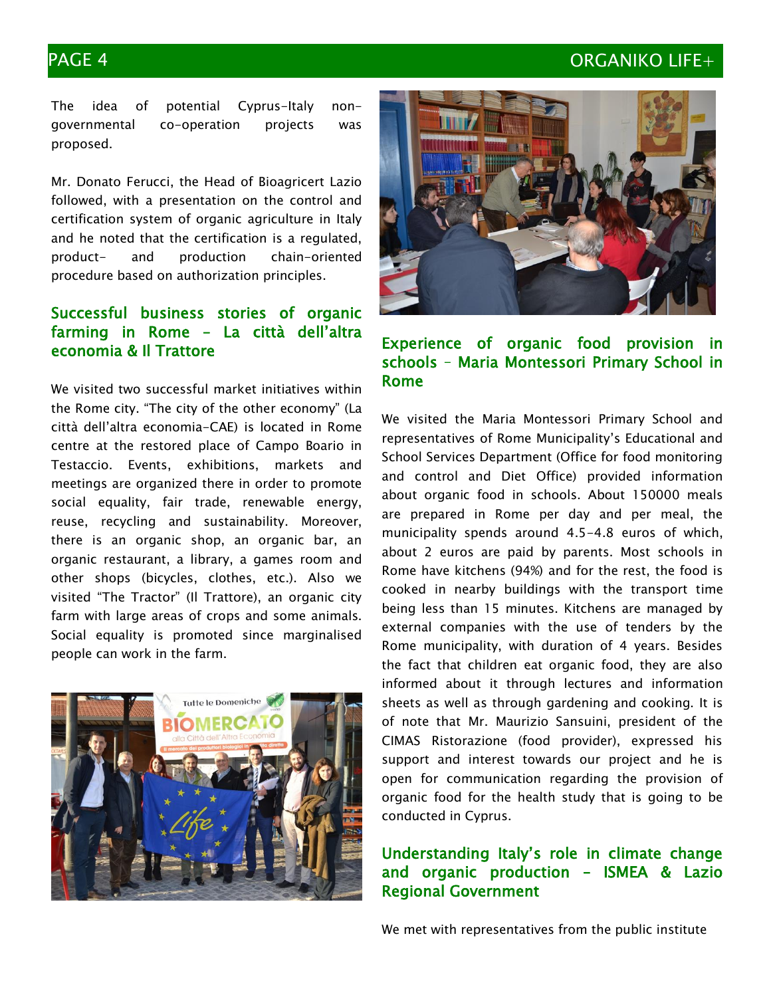### PAGE 4 ORGANIKO LIFE+

The idea of potential Cyprus-Italy nongovernmental co-operation projects was proposed.

Mr. Donato Ferucci, the Head of Bioagricert Lazio followed, with a presentation on the control and certification system of organic agriculture in Italy and he noted that the certification is a regulated, product- and production chain-oriented procedure based on authorization principles.

### Successful business stories of organic farming in Rome – La città dell'altra economia & Il Trattore

We visited two successful market initiatives within the Rome city. "The city of the other economy" (La città dell'altra economia-CAE) is located in Rome centre at the restored place of Campo Boario in Testaccio. Events, exhibitions, markets and meetings are organized there in order to promote social equality, fair trade, renewable energy, reuse, recycling and sustainability. Moreover, there is an organic shop, an organic bar, an organic restaurant, a library, a games room and other shops (bicycles, clothes, etc.). Also we visited "The Tractor" (Il Trattore), an organic city farm with large areas of crops and some animals. Social equality is promoted since marginalised people can work in the farm.





#### Experience of organic food provision in schools – Maria Montessori Primary School in Rome

We visited the Maria Montessori Primary School and representatives of Rome Municipality's Educational and School Services Department (Office for food monitoring and control and Diet Office) provided information about organic food in schools. About 150000 meals are prepared in Rome per day and per meal, the municipality spends around 4.5-4.8 euros of which, about 2 euros are paid by parents. Most schools in Rome have kitchens (94%) and for the rest, the food is cooked in nearby buildings with the transport time being less than 15 minutes. Kitchens are managed by external companies with the use of tenders by the Rome municipality, with duration of 4 years. Besides the fact that children eat organic food, they are also informed about it through lectures and information sheets as well as through gardening and cooking. It is of note that Mr. Maurizio Sansuini, president of the CIMAS Ristorazione (food provider), expressed his support and interest towards our project and he is open for communication regarding the provision of organic food for the health study that is going to be conducted in Cyprus.

#### Understanding Italy's role in climate change and organic production – ISMEA & Lazio Regional Government

We met with representatives from the public institute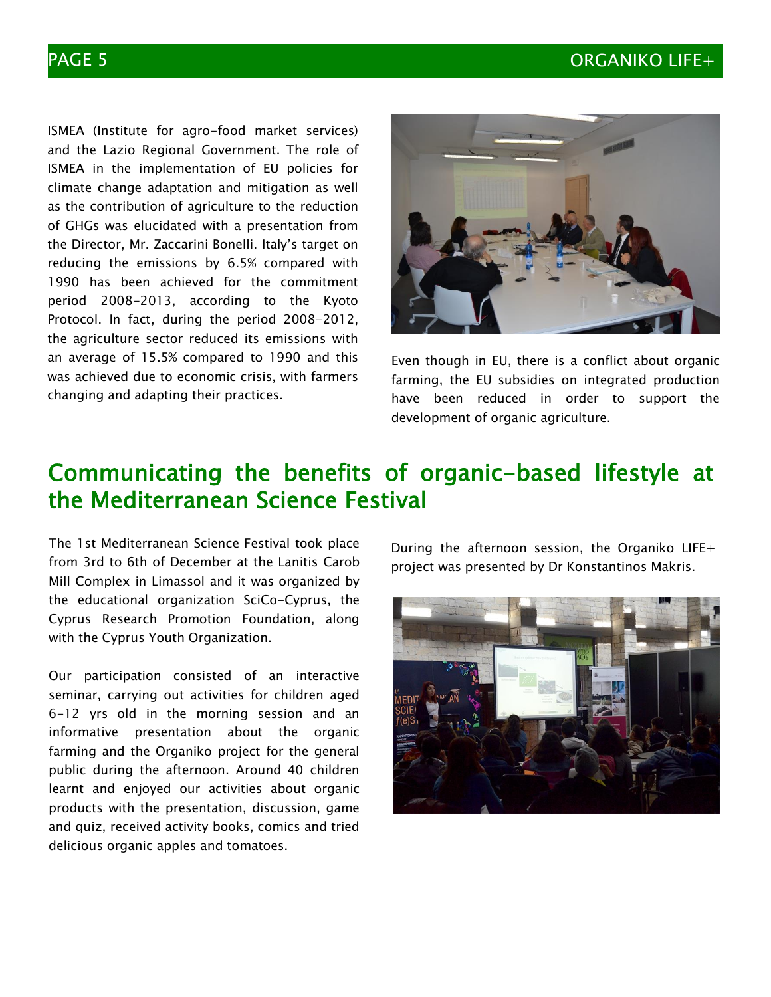### PAGE 5 ORGANIKO LIFE+

ISMEA (Institute for agro-food market services) and the Lazio Regional Government. The role of ISMEA in the implementation of EU policies for climate change adaptation and mitigation as well as the contribution of agriculture to the reduction of GHGs was elucidated with a presentation from the Director, Mr. Zaccarini Bonelli. Italy's target on reducing the emissions by 6.5% compared with 1990 has been achieved for the commitment period 2008-2013, according to the Kyoto Protocol. In fact, during the period 2008-2012, the agriculture sector reduced its emissions with an average of 15.5% compared to 1990 and this was achieved due to economic crisis, with farmers changing and adapting their practices.



Even though in EU, there is a conflict about organic farming, the EU subsidies on integrated production have been reduced in order to support the development of organic agriculture.

# Communicating the benefits of organic-based lifestyle at the Mediterranean Science Festival

The 1st Mediterranean Science Festival took place from 3rd to 6th of December at the Lanitis Carob Mill Complex in Limassol and it was organized by the educational organization SciCo-Cyprus, the Cyprus Research Promotion Foundation, along with the Cyprus Youth Organization.

Our participation consisted of an interactive seminar, carrying out activities for children aged 6-12 yrs old in the morning session and an informative presentation about the organic farming and the Organiko project for the general public during the afternoon. Around 40 children learnt and enjoyed our activities about organic products with the presentation, discussion, game and quiz, received activity books, comics and tried delicious organic apples and tomatoes.

During the afternoon session, the Organiko LIFE+ project was presented by Dr Konstantinos Makris.

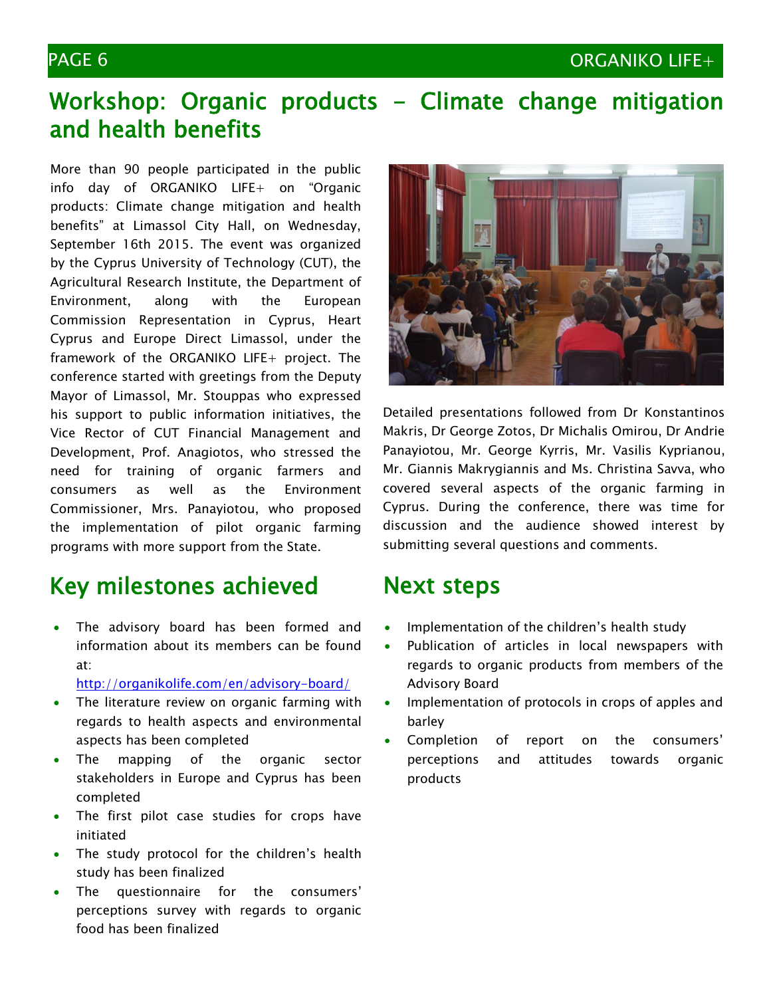### PAGE 6 ORGANIKO LIFE+

# Workshop: Organic products - Climate change mitigation and health benefits

More than 90 people participated in the public info day of ORGANIKO LIFE+ on "Organic products: Climate change mitigation and health benefits" at Limassol City Hall, on Wednesday, September 16th 2015. The event was organized by the Cyprus University of Technology (CUT), the Agricultural Research Institute, the Department of Environment, along with the European Commission Representation in Cyprus, Heart Cyprus and Europe Direct Limassol, under the framework of the ORGANIKO LIFE+ project. The conference started with greetings from the Deputy Mayor of Limassol, Mr. Stouppas who expressed his support to public information initiatives, the Vice Rector of CUT Financial Management and Development, Prof. Anagiotos, who stressed the need for training of organic farmers and consumers as well as the Environment Commissioner, Mrs. Panayiotou, who proposed the implementation of pilot organic farming programs with more support from the State.

# Key milestones achieved

- The advisory board has been formed and information about its members can be found at:
	- <http://organikolife.com/en/advisory-board/>
- The literature review on organic farming with regards to health aspects and environmental aspects has been completed
- The mapping of the organic sector stakeholders in Europe and Cyprus has been completed
- The first pilot case studies for crops have initiated
- The study protocol for the children's health study has been finalized
- The questionnaire for the consumers' perceptions survey with regards to organic food has been finalized



Detailed presentations followed from Dr Konstantinos Makris, Dr George Zotos, Dr Michalis Omirou, Dr Andrie Panayiotou, Mr. George Kyrris, Mr. Vasilis Kyprianou, Mr. Giannis Makrygiannis and Ms. Christina Savva, who covered several aspects of the organic farming in Cyprus. During the conference, there was time for discussion and the audience showed interest by submitting several questions and comments.

## Next steps

- Implementation of the children's health study
- Publication of articles in local newspapers with regards to organic products from members of the Advisory Board
- Implementation of protocols in crops of apples and barley
- Completion of report on the consumers' perceptions and attitudes towards organic products